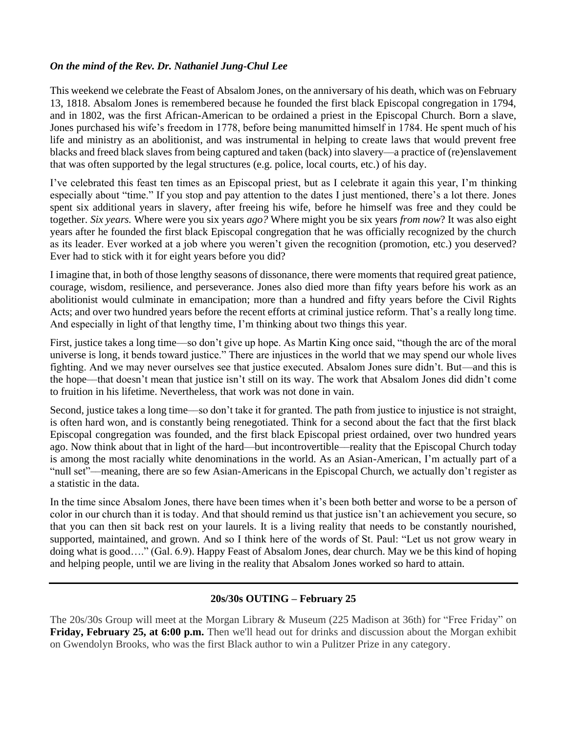## *On the mind of the Rev. Dr. Nathaniel Jung-Chul Lee*

This weekend we celebrate the Feast of Absalom Jones, on the anniversary of his death, which was on February 13, 1818. Absalom Jones is remembered because he founded the first black Episcopal congregation in 1794, and in 1802, was the first African-American to be ordained a priest in the Episcopal Church. Born a slave, Jones purchased his wife's freedom in 1778, before being manumitted himself in 1784. He spent much of his life and ministry as an abolitionist, and was instrumental in helping to create laws that would prevent free blacks and freed black slaves from being captured and taken (back) into slavery––a practice of (re)enslavement that was often supported by the legal structures (e.g. police, local courts, etc.) of his day.

I've celebrated this feast ten times as an Episcopal priest, but as I celebrate it again this year, I'm thinking especially about "time." If you stop and pay attention to the dates I just mentioned, there's a lot there. Jones spent six additional years in slavery, after freeing his wife, before he himself was free and they could be together. *Six years.* Where were you six years *ago?* Where might you be six years *from now*? It was also eight years after he founded the first black Episcopal congregation that he was officially recognized by the church as its leader. Ever worked at a job where you weren't given the recognition (promotion, etc.) you deserved? Ever had to stick with it for eight years before you did?

I imagine that, in both of those lengthy seasons of dissonance, there were moments that required great patience, courage, wisdom, resilience, and perseverance. Jones also died more than fifty years before his work as an abolitionist would culminate in emancipation; more than a hundred and fifty years before the Civil Rights Acts; and over two hundred years before the recent efforts at criminal justice reform. That's a really long time. And especially in light of that lengthy time, I'm thinking about two things this year.

First, justice takes a long time––so don't give up hope. As Martin King once said, "though the arc of the moral universe is long, it bends toward justice." There are injustices in the world that we may spend our whole lives fighting. And we may never ourselves see that justice executed. Absalom Jones sure didn't. But––and this is the hope––that doesn't mean that justice isn't still on its way. The work that Absalom Jones did didn't come to fruition in his lifetime. Nevertheless, that work was not done in vain.

Second, justice takes a long time––so don't take it for granted. The path from justice to injustice is not straight, is often hard won, and is constantly being renegotiated. Think for a second about the fact that the first black Episcopal congregation was founded, and the first black Episcopal priest ordained, over two hundred years ago. Now think about that in light of the hard––but incontrovertible––reality that the Episcopal Church today is among the most racially white denominations in the world. As an Asian-American, I'm actually part of a "null set"––meaning, there are so few Asian-Americans in the Episcopal Church, we actually don't register as a statistic in the data.

In the time since Absalom Jones, there have been times when it's been both better and worse to be a person of color in our church than it is today. And that should remind us that justice isn't an achievement you secure, so that you can then sit back rest on your laurels. It is a living reality that needs to be constantly nourished, supported, maintained, and grown. And so I think here of the words of St. Paul: "Let us not grow weary in doing what is good…." (Gal. 6.9). Happy Feast of Absalom Jones, dear church. May we be this kind of hoping and helping people, until we are living in the reality that Absalom Jones worked so hard to attain.

## **20s/30s OUTING – February 25**

The 20s/30s Group will meet at the Morgan Library & Museum (225 Madison at 36th) for "Free Friday" on **Friday, February 25, at 6:00 p.m.** Then we'll head out for drinks and discussion about the Morgan exhibit on Gwendolyn Brooks, who was the first Black author to win a Pulitzer Prize in any category.